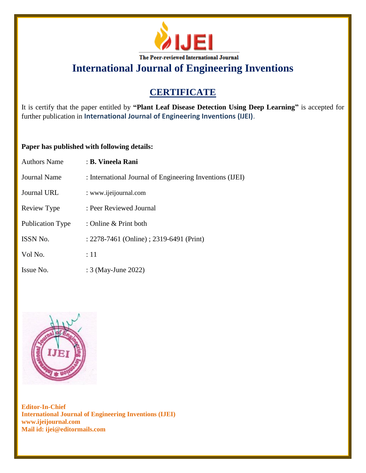

# **CERTIFICATE**

It is certify that the paper entitled by **"Plant Leaf Disease Detection Using Deep Learning"** is accepted for further publication in **International Journal of Engineering Inventions (IJEI)**.

#### **Paper has published with following details:**

| <b>Authors Name</b>     | : B. Vineela Rani                                        |
|-------------------------|----------------------------------------------------------|
| Journal Name            | : International Journal of Engineering Inventions (IJEI) |
| Journal URL             | : www.ijeijournal.com                                    |
| Review Type             | : Peer Reviewed Journal                                  |
| <b>Publication Type</b> | : Online & Print both                                    |
| <b>ISSN No.</b>         | : 2278-7461 (Online) ; 2319-6491 (Print)                 |
| Vol No.                 | :11                                                      |
| Issue No.               | : 3 (May-June 2022)                                      |

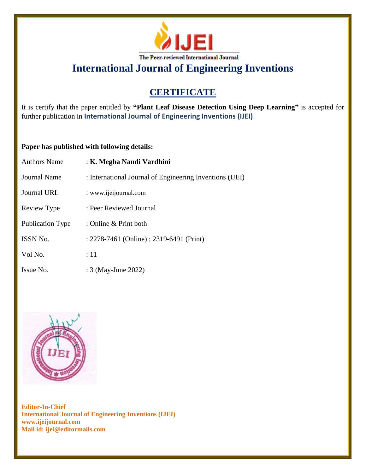

# **CERTIFICATE**

It is certify that the paper entitled by **"Plant Leaf Disease Detection Using Deep Learning"** is accepted for further publication in **International Journal of Engineering Inventions (IJEI)**.

#### **Paper has published with following details:**

| <b>Authors Name</b> | : K. Megha Nandi Vardhini                                |
|---------------------|----------------------------------------------------------|
| <b>Journal Name</b> | : International Journal of Engineering Inventions (IJEI) |
| Journal URL         | : www.ijeijournal.com                                    |
| Review Type         | : Peer Reviewed Journal                                  |
| Publication Type    | : Online & Print both                                    |
| <b>ISSN No.</b>     | : 2278-7461 (Online) ; 2319-6491 (Print)                 |
| Vol No.             | :11                                                      |
| Issue No.           | : 3 (May-June 2022)                                      |

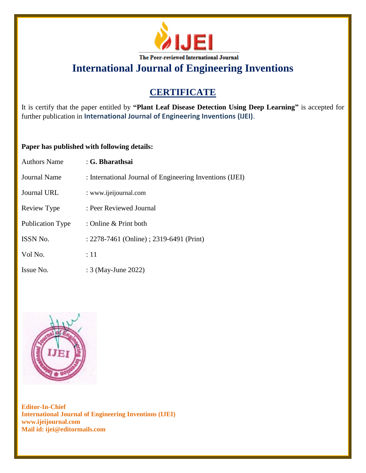

### **CERTIFICATE**

It is certify that the paper entitled by **"Plant Leaf Disease Detection Using Deep Learning"** is accepted for further publication in **International Journal of Engineering Inventions (IJEI)**.

#### **Paper has published with following details:**

| <b>Authors Name</b> | : G. Bharathsai                                          |
|---------------------|----------------------------------------------------------|
| Journal Name        | : International Journal of Engineering Inventions (IJEI) |
| Journal URL         | : www.ijeijournal.com                                    |
| Review Type         | : Peer Reviewed Journal                                  |
| Publication Type    | : Online & Print both                                    |
| <b>ISSN No.</b>     | : 2278-7461 (Online) ; 2319-6491 (Print)                 |
| Vol No.             | :11                                                      |
| Issue No.           | : 3 (May-June 2022)                                      |

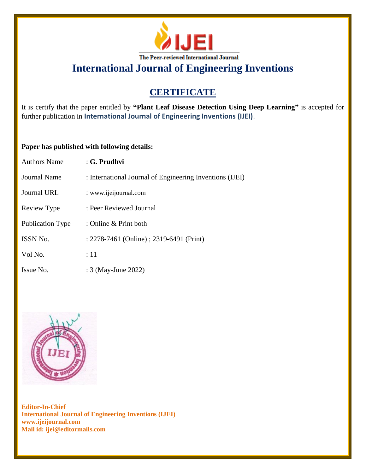

# **CERTIFICATE**

It is certify that the paper entitled by **"Plant Leaf Disease Detection Using Deep Learning"** is accepted for further publication in **International Journal of Engineering Inventions (IJEI)**.

#### **Paper has published with following details:**

| <b>Authors Name</b>     | $: G.$ Prudhvi                                           |
|-------------------------|----------------------------------------------------------|
| <b>Journal Name</b>     | : International Journal of Engineering Inventions (IJEI) |
| Journal URL             | : www.ijeijournal.com                                    |
| Review Type             | : Peer Reviewed Journal                                  |
| <b>Publication Type</b> | : Online & Print both                                    |
| ISSN No.                | : 2278-7461 (Online) ; 2319-6491 (Print)                 |
| Vol No.                 | $\div 11$                                                |
| Issue No.               | : 3 (May-June 2022)                                      |